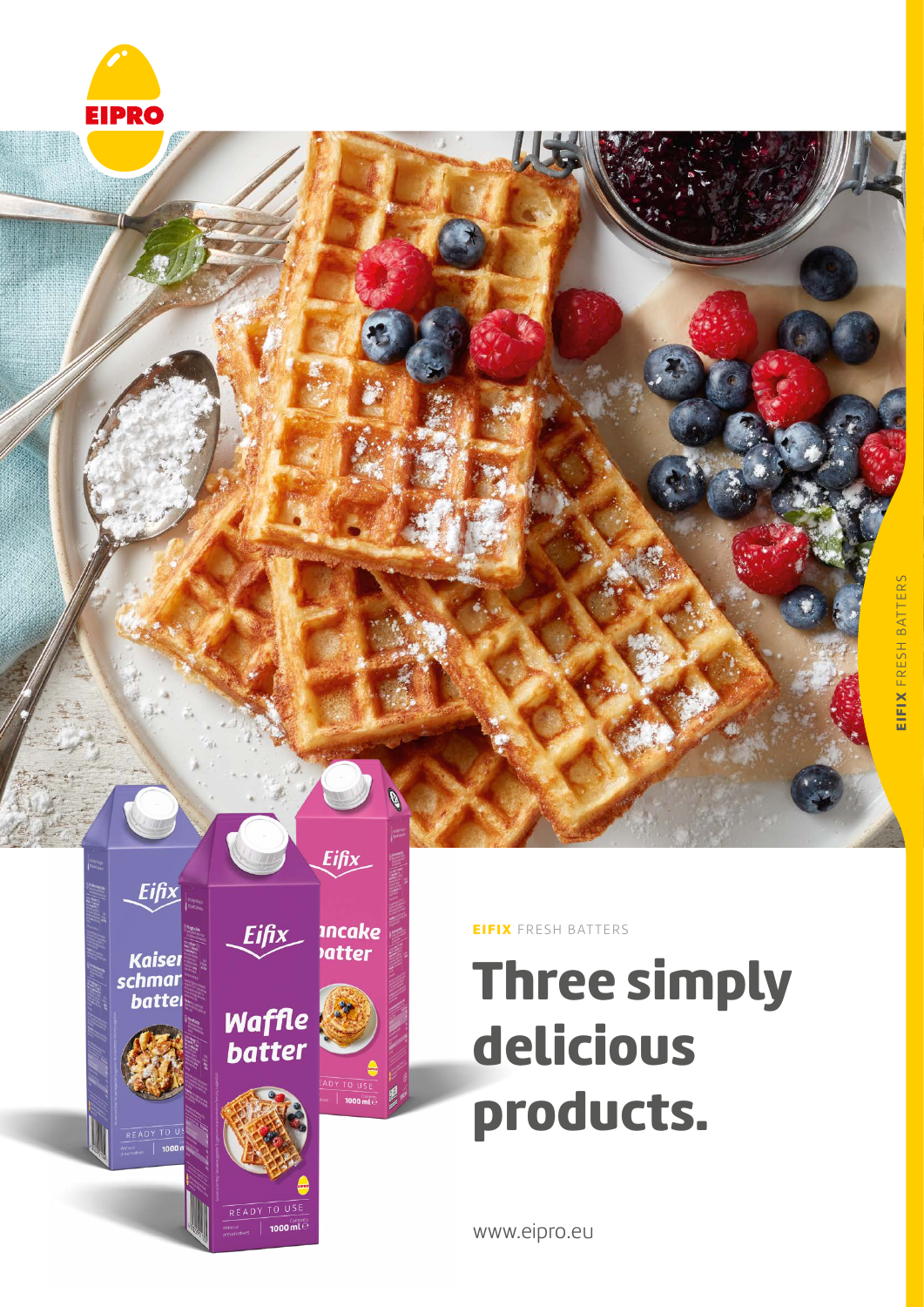



EIFIX FRESH BATTERS

# Three simply delicious products.

www.eipro.eu